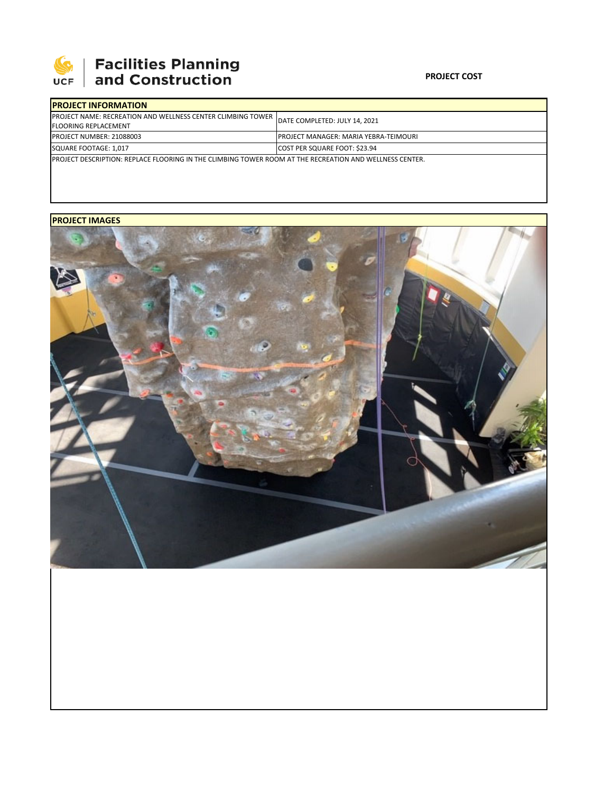

# **SEPTE AND Facilities Planning**<br>UCF and Construction

#### **PROJECT COST**

| <b>IPROJECT INFORMATION</b>                                                                                     |                                        |  |  |  |
|-----------------------------------------------------------------------------------------------------------------|----------------------------------------|--|--|--|
| <b>IPROJECT NAME: RECREATION AND WELLNESS CENTER CLIMBING TOWER</b><br><b>IFLOORING REPLACEMENT</b>             | DATE COMPLETED: JULY 14, 2021          |  |  |  |
| <b>PROJECT NUMBER: 21088003</b>                                                                                 | IPROJECT MANAGER: MARIA YEBRA-TEIMOURI |  |  |  |
| SQUARE FOOTAGE: 1.017                                                                                           | COST PER SQUARE FOOT: \$23.94          |  |  |  |
| <b>IPROJECT DESCRIPTION: REPLACE FLOORING IN THE CLIMBING TOWER ROOM AT THE RECREATION AND WELLNESS CENTER.</b> |                                        |  |  |  |

### **PROJECT IMAGES**